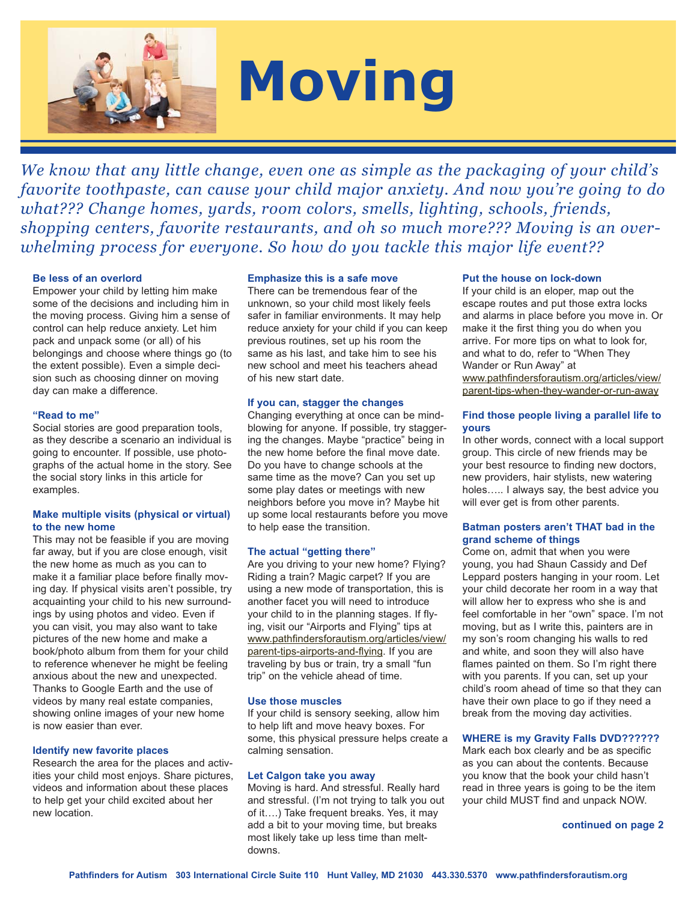

# **Moving**

*We know that any little change, even one as simple as the packaging of your child's favorite toothpaste, can cause your child major anxiety. And now you're going to do what??? Change homes, yards, room colors, smells, lighting, schools, friends, shopping centers, favorite restaurants, and oh so much more??? Moving is an overwhelming process for everyone. So how do you tackle this major life event??*

#### **Be less of an overlord**

Empower your child by letting him make some of the decisions and including him in the moving process. Giving him a sense of control can help reduce anxiety. Let him pack and unpack some (or all) of his belongings and choose where things go (to the extent possible). Even a simple decision such as choosing dinner on moving day can make a difference.

#### **"Read to me"**

Social stories are good preparation tools, as they describe a scenario an individual is going to encounter. If possible, use photographs of the actual home in the story. See the social story links in this article for examples.

# **Make multiple visits (physical or virtual) to the new home**

This may not be feasible if you are moving far away, but if you are close enough, visit the new home as much as you can to make it a familiar place before finally moving day. If physical visits aren't possible, try acquainting your child to his new surroundings by using photos and video. Even if you can visit, you may also want to take pictures of the new home and make a book/photo album from them for your child to reference whenever he might be feeling anxious about the new and unexpected. Thanks to Google Earth and the use of videos by many real estate companies, showing online images of your new home is now easier than ever.

#### **Identify new favorite places**

Research the area for the places and activities your child most enjoys. Share pictures, videos and information about these places to help get your child excited about her new location.

#### **Emphasize this is a safe move**

There can be tremendous fear of the unknown, so your child most likely feels safer in familiar environments. It may help reduce anxiety for your child if you can keep previous routines, set up his room the same as his last, and take him to see his new school and meet his teachers ahead of his new start date.

#### **If you can, stagger the changes**

Changing everything at once can be mindblowing for anyone. If possible, try staggering the changes. Maybe "practice" being in the new home before the final move date. Do you have to change schools at the same time as the move? Can you set up some play dates or meetings with new neighbors before you move in? Maybe hit up some local restaurants before you move to help ease the transition.

# **The actual "getting there"**

Are you driving to your new home? Flying? Riding a train? Magic carpet? If you are using a new mode of transportation, this is another facet you will need to introduce your child to in the planning stages. If flying, visit our "Airports and Flying" tips at www.pathfindersforautism.org/articles/view/ parent-tips-airports-and-flying. If you are traveling by bus or train, try a small "fun trip" on the vehicle ahead of time.

#### **Use those muscles**

If your child is sensory seeking, allow him to help lift and move heavy boxes. For some, this physical pressure helps create a calming sensation.

#### **Let Calgon take you away**

Moving is hard. And stressful. Really hard and stressful. (I'm not trying to talk you out of it….) Take frequent breaks. Yes, it may add a bit to your moving time, but breaks most likely take up less time than meltdowns.

#### **Put the house on lock-down**

If your child is an eloper, map out the escape routes and put those extra locks and alarms in place before you move in. Or make it the first thing you do when you arrive. For more tips on what to look for, and what to do, refer to "When They Wander or Run Away" at www.pathfindersforautism.org/articles/view/ parent-tips-when-they-wander-or-run-away

# **Find those people living a parallel life to yours**

In other words, connect with a local support group. This circle of new friends may be your best resource to finding new doctors, new providers, hair stylists, new watering holes….. I always say, the best advice you will ever get is from other parents.

# **Batman posters aren't THAT bad in the grand scheme of things**

Come on, admit that when you were young, you had Shaun Cassidy and Def Leppard posters hanging in your room. Let your child decorate her room in a way that will allow her to express who she is and feel comfortable in her "own" space. I'm not moving, but as I write this, painters are in my son's room changing his walls to red and white, and soon they will also have flames painted on them. So I'm right there with you parents. If you can, set up your child's room ahead of time so that they can have their own place to go if they need a break from the moving day activities.

# **WHERE is my Gravity Falls DVD??????**

Mark each box clearly and be as specific as you can about the contents. Because you know that the book your child hasn't read in three years is going to be the item your child MUST find and unpack NOW.

#### **continued on page 2**